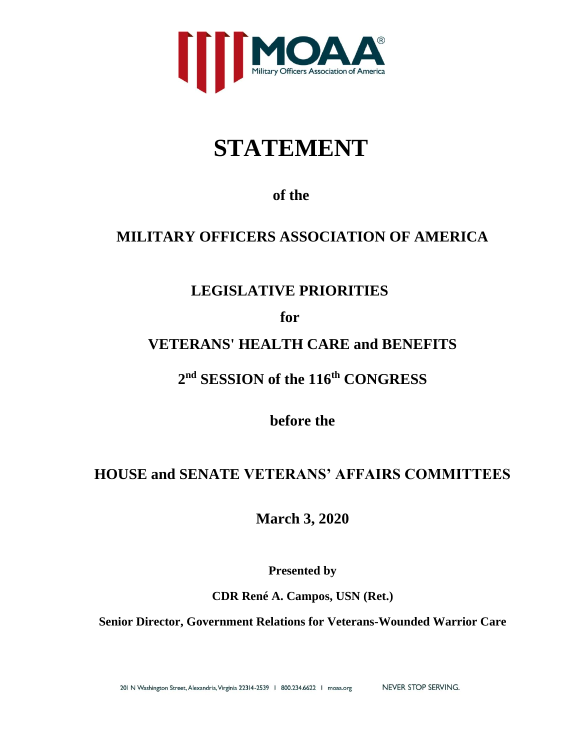

# **STATEMENT**

**of the**

# **MILITARY OFFICERS ASSOCIATION OF AMERICA**

# **LEGISLATIVE PRIORITIES**

**for**

# **VETERANS' HEALTH CARE and BENEFITS**

**2 nd SESSION of the 116th CONGRESS**

**before the**

# **HOUSE and SENATE VETERANS' AFFAIRS COMMITTEES**

**March 3, 2020**

**Presented by**

**CDR René A. Campos, USN (Ret.)**

**Senior Director, Government Relations for Veterans-Wounded Warrior Care**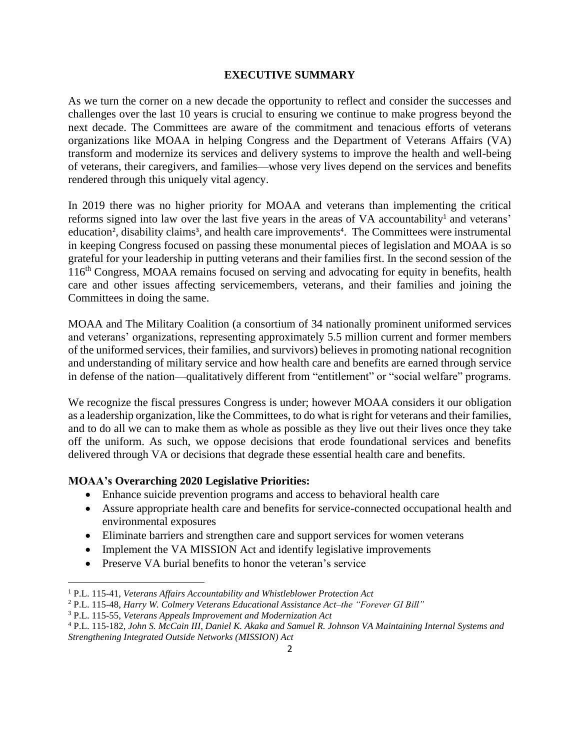### **EXECUTIVE SUMMARY**

As we turn the corner on a new decade the opportunity to reflect and consider the successes and challenges over the last 10 years is crucial to ensuring we continue to make progress beyond the next decade. The Committees are aware of the commitment and tenacious efforts of veterans organizations like MOAA in helping Congress and the Department of Veterans Affairs (VA) transform and modernize its services and delivery systems to improve the health and well-being of veterans, their caregivers, and families—whose very lives depend on the services and benefits rendered through this uniquely vital agency.

In 2019 there was no higher priority for MOAA and veterans than implementing the critical reforms signed into law over the last five years in the areas of VA accountability<sup>1</sup> and veterans' education<sup>2</sup>, disability claims<sup>3</sup>, and health care improvements<sup>4</sup>. The Committees were instrumental in keeping Congress focused on passing these monumental pieces of legislation and MOAA is so grateful for your leadership in putting veterans and their families first. In the second session of the 116th Congress, MOAA remains focused on serving and advocating for equity in benefits, health care and other issues affecting servicemembers, veterans, and their families and joining the Committees in doing the same.

MOAA and The Military Coalition (a consortium of 34 nationally prominent uniformed services and veterans' organizations, representing approximately 5.5 million current and former members of the uniformed services, their families, and survivors) believes in promoting national recognition and understanding of military service and how health care and benefits are earned through service in defense of the nation—qualitatively different from "entitlement" or "social welfare" programs.

We recognize the fiscal pressures Congress is under; however MOAA considers it our obligation as a leadership organization, like the Committees, to do what is right for veterans and their families, and to do all we can to make them as whole as possible as they live out their lives once they take off the uniform. As such, we oppose decisions that erode foundational services and benefits delivered through VA or decisions that degrade these essential health care and benefits.

#### **MOAA's Overarching 2020 Legislative Priorities:**

- Enhance suicide prevention programs and access to behavioral health care
- Assure appropriate health care and benefits for service-connected occupational health and environmental exposures
- Eliminate barriers and strengthen care and support services for women veterans
- Implement the VA MISSION Act and identify legislative improvements
- Preserve VA burial benefits to honor the veteran's service

<sup>1</sup> P.L. 115-41, *Veterans Affairs Accountability and Whistleblower Protection Act*

<sup>2</sup> P.L. 115-48, *Harry W. Colmery Veterans Educational Assistance Act–the "Forever GI Bill"*

<sup>3</sup> P.L. 115-55, *Veterans Appeals Improvement and Modernization Act*

<sup>4</sup> P.L. 115-182, *John S. McCain III, Daniel K. Akaka and Samuel R. Johnson VA Maintaining Internal Systems and Strengthening Integrated Outside Networks (MISSION) Act*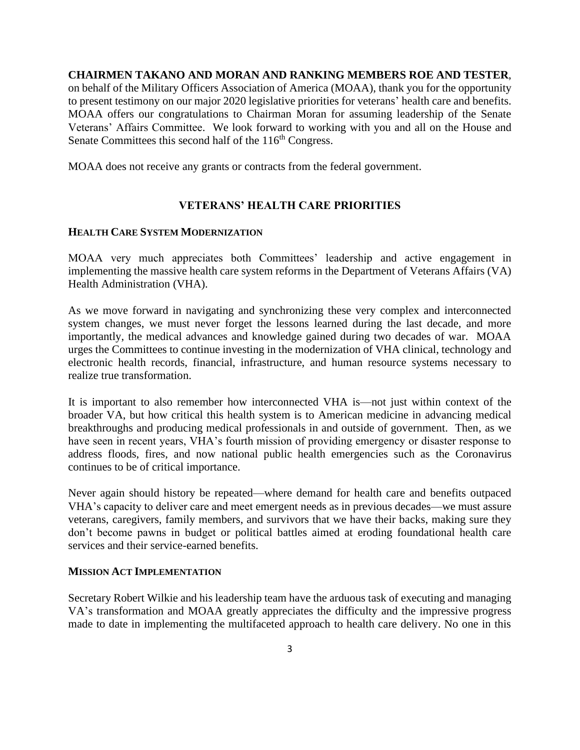**CHAIRMEN TAKANO AND MORAN AND RANKING MEMBERS ROE AND TESTER**,

on behalf of the Military Officers Association of America (MOAA), thank you for the opportunity to present testimony on our major 2020 legislative priorities for veterans' health care and benefits. MOAA offers our congratulations to Chairman Moran for assuming leadership of the Senate Veterans' Affairs Committee. We look forward to working with you and all on the House and Senate Committees this second half of the 116<sup>th</sup> Congress.

MOAA does not receive any grants or contracts from the federal government.

### **VETERANS' HEALTH CARE PRIORITIES**

#### **HEALTH CARE SYSTEM MODERNIZATION**

MOAA very much appreciates both Committees' leadership and active engagement in implementing the massive health care system reforms in the Department of Veterans Affairs (VA) Health Administration (VHA).

As we move forward in navigating and synchronizing these very complex and interconnected system changes, we must never forget the lessons learned during the last decade, and more importantly, the medical advances and knowledge gained during two decades of war. MOAA urges the Committees to continue investing in the modernization of VHA clinical, technology and electronic health records, financial, infrastructure, and human resource systems necessary to realize true transformation.

It is important to also remember how interconnected VHA is—not just within context of the broader VA, but how critical this health system is to American medicine in advancing medical breakthroughs and producing medical professionals in and outside of government. Then, as we have seen in recent years, VHA's fourth mission of providing emergency or disaster response to address floods, fires, and now national public health emergencies such as the Coronavirus continues to be of critical importance.

Never again should history be repeated—where demand for health care and benefits outpaced VHA's capacity to deliver care and meet emergent needs as in previous decades—we must assure veterans, caregivers, family members, and survivors that we have their backs, making sure they don't become pawns in budget or political battles aimed at eroding foundational health care services and their service-earned benefits.

#### **MISSION ACT IMPLEMENTATION**

Secretary Robert Wilkie and his leadership team have the arduous task of executing and managing VA's transformation and MOAA greatly appreciates the difficulty and the impressive progress made to date in implementing the multifaceted approach to health care delivery. No one in this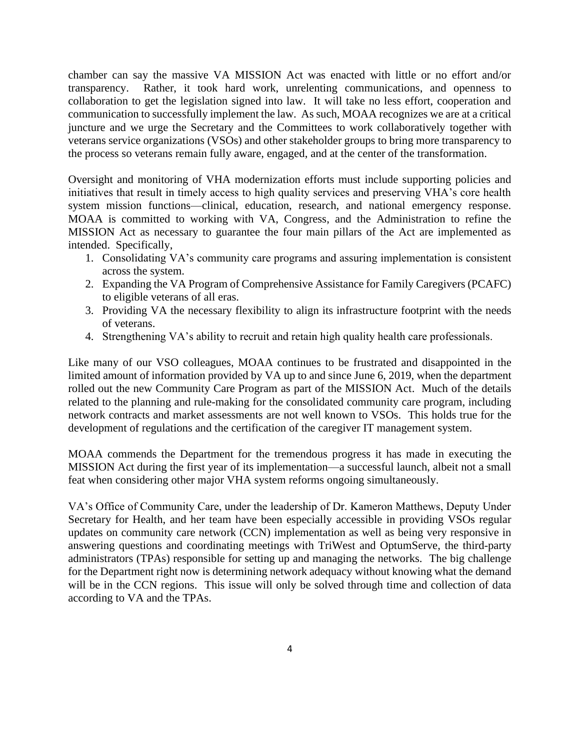chamber can say the massive VA MISSION Act was enacted with little or no effort and/or transparency. Rather, it took hard work, unrelenting communications, and openness to collaboration to get the legislation signed into law. It will take no less effort, cooperation and communication to successfully implement the law. As such, MOAA recognizes we are at a critical juncture and we urge the Secretary and the Committees to work collaboratively together with veterans service organizations (VSOs) and other stakeholder groups to bring more transparency to the process so veterans remain fully aware, engaged, and at the center of the transformation.

Oversight and monitoring of VHA modernization efforts must include supporting policies and initiatives that result in timely access to high quality services and preserving VHA's core health system mission functions—clinical, education, research, and national emergency response. MOAA is committed to working with VA, Congress, and the Administration to refine the MISSION Act as necessary to guarantee the four main pillars of the Act are implemented as intended. Specifically,

- 1. Consolidating VA's community care programs and assuring implementation is consistent across the system.
- 2. Expanding the VA Program of Comprehensive Assistance for Family Caregivers (PCAFC) to eligible veterans of all eras.
- 3. Providing VA the necessary flexibility to align its infrastructure footprint with the needs of veterans.
- 4. Strengthening VA's ability to recruit and retain high quality health care professionals.

Like many of our VSO colleagues, MOAA continues to be frustrated and disappointed in the limited amount of information provided by VA up to and since June 6, 2019, when the department rolled out the new Community Care Program as part of the MISSION Act. Much of the details related to the planning and rule-making for the consolidated community care program, including network contracts and market assessments are not well known to VSOs. This holds true for the development of regulations and the certification of the caregiver IT management system.

MOAA commends the Department for the tremendous progress it has made in executing the MISSION Act during the first year of its implementation—a successful launch, albeit not a small feat when considering other major VHA system reforms ongoing simultaneously.

VA's Office of Community Care, under the leadership of Dr. Kameron Matthews, Deputy Under Secretary for Health, and her team have been especially accessible in providing VSOs regular updates on community care network (CCN) implementation as well as being very responsive in answering questions and coordinating meetings with TriWest and OptumServe, the third-party administrators (TPAs) responsible for setting up and managing the networks. The big challenge for the Department right now is determining network adequacy without knowing what the demand will be in the CCN regions. This issue will only be solved through time and collection of data according to VA and the TPAs.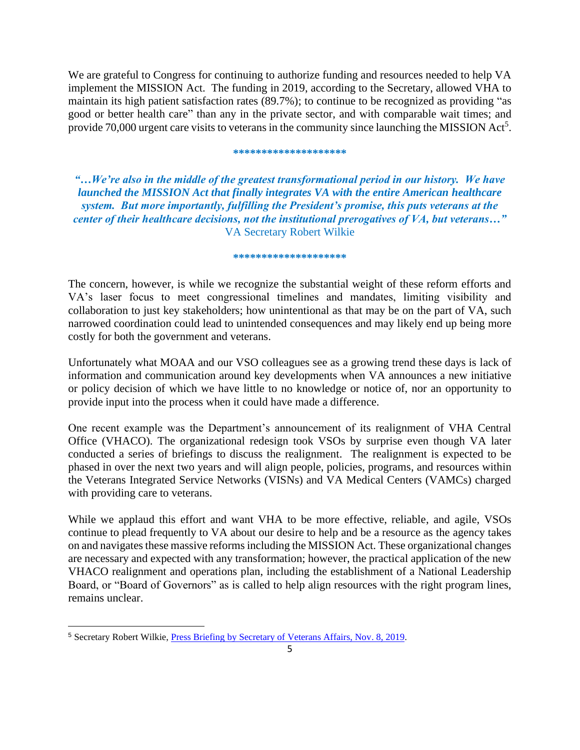We are grateful to Congress for continuing to authorize funding and resources needed to help VA implement the MISSION Act. The funding in 2019, according to the Secretary, allowed VHA to maintain its high patient satisfaction rates (89.7%); to continue to be recognized as providing "as good or better health care" than any in the private sector, and with comparable wait times; and provide  $70,000$  urgent care visits to veterans in the community since launching the MISSION Act<sup>5</sup>.

#### **\*\*\*\*\*\*\*\*\*\*\*\*\*\*\*\*\*\*\*\***

*"…We're also in the middle of the greatest transformational period in our history. We have launched the MISSION Act that finally integrates VA with the entire American healthcare system. But more importantly, fulfilling the President's promise, this puts veterans at the center of their healthcare decisions, not the institutional prerogatives of VA, but veterans…"* VA Secretary Robert Wilkie

#### **\*\*\*\*\*\*\*\*\*\*\*\*\*\*\*\*\*\*\*\***

The concern, however, is while we recognize the substantial weight of these reform efforts and VA's laser focus to meet congressional timelines and mandates, limiting visibility and collaboration to just key stakeholders; how unintentional as that may be on the part of VA, such narrowed coordination could lead to unintended consequences and may likely end up being more costly for both the government and veterans.

Unfortunately what MOAA and our VSO colleagues see as a growing trend these days is lack of information and communication around key developments when VA announces a new initiative or policy decision of which we have little to no knowledge or notice of, nor an opportunity to provide input into the process when it could have made a difference.

One recent example was the Department's announcement of its realignment of VHA Central Office (VHACO). The organizational redesign took VSOs by surprise even though VA later conducted a series of briefings to discuss the realignment. The realignment is expected to be phased in over the next two years and will align people, policies, programs, and resources within the Veterans Integrated Service Networks (VISNs) and VA Medical Centers (VAMCs) charged with providing care to veterans.

While we applaud this effort and want VHA to be more effective, reliable, and agile, VSOs continue to plead frequently to VA about our desire to help and be a resource as the agency takes on and navigates these massive reforms including the MISSION Act. These organizational changes are necessary and expected with any transformation; however, the practical application of the new VHACO realignment and operations plan, including the establishment of a National Leadership Board, or "Board of Governors" as is called to help align resources with the right program lines, remains unclear.

<sup>5</sup> Secretary Robert Wilkie, [Press Briefing by Secretary of Veterans Affairs, Nov.](https://www.whitehouse.gov/briefings-statements/press-briefing-secretary-veterans-affairs-robert-wilkie/) 8, 2019.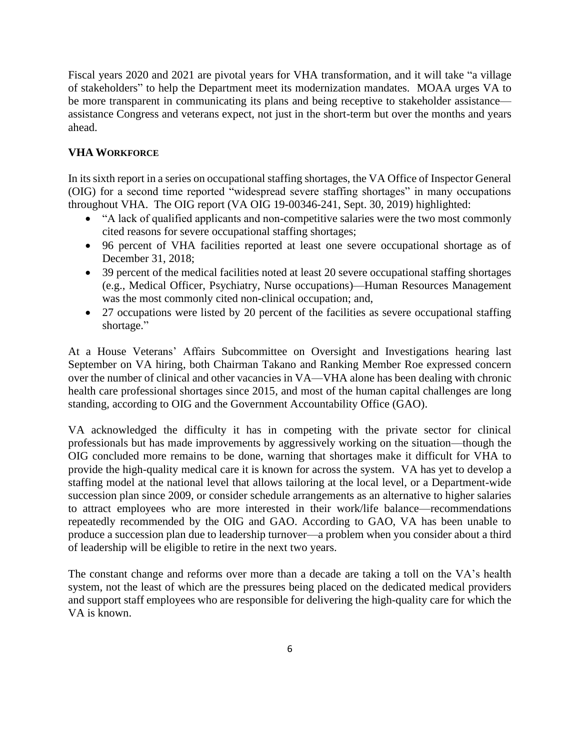Fiscal years 2020 and 2021 are pivotal years for VHA transformation, and it will take "a village of stakeholders" to help the Department meet its modernization mandates. MOAA urges VA to be more transparent in communicating its plans and being receptive to stakeholder assistance assistance Congress and veterans expect, not just in the short-term but over the months and years ahead.

## **VHA WORKFORCE**

In its sixth report in a series on occupational staffing shortages, the VA Office of Inspector General (OIG) for a second time reported "widespread severe staffing shortages" in many occupations throughout VHA. The OIG report (VA OIG 19-00346-241, Sept. 30, 2019) highlighted:

- "A lack of qualified applicants and non-competitive salaries were the two most commonly cited reasons for severe occupational staffing shortages;
- 96 percent of VHA facilities reported at least one severe occupational shortage as of December 31, 2018;
- 39 percent of the medical facilities noted at least 20 severe occupational staffing shortages (e.g., Medical Officer, Psychiatry, Nurse occupations)—Human Resources Management was the most commonly cited non-clinical occupation; and,
- 27 occupations were listed by 20 percent of the facilities as severe occupational staffing shortage."

At a House Veterans' Affairs Subcommittee on Oversight and Investigations hearing last September on VA hiring, both Chairman Takano and Ranking Member Roe expressed concern over the number of clinical and other vacancies in VA—VHA alone has been dealing with chronic health care professional shortages since 2015, and most of the human capital challenges are long standing, according to OIG and the Government Accountability Office (GAO).

VA acknowledged the difficulty it has in competing with the private sector for clinical professionals but has made improvements by aggressively working on the situation—though the OIG concluded more remains to be done, warning that shortages make it difficult for VHA to provide the high-quality medical care it is known for across the system. VA has yet to develop a staffing model at the national level that allows tailoring at the local level, or a Department-wide succession plan since 2009, or consider schedule arrangements as an alternative to higher salaries to attract employees who are more interested in their work/life balance—recommendations repeatedly recommended by the OIG and GAO. According to GAO, VA has been unable to produce a succession plan due to leadership turnover—a problem when you consider about a third of leadership will be eligible to retire in the next two years.

The constant change and reforms over more than a decade are taking a toll on the VA's health system, not the least of which are the pressures being placed on the dedicated medical providers and support staff employees who are responsible for delivering the high-quality care for which the VA is known.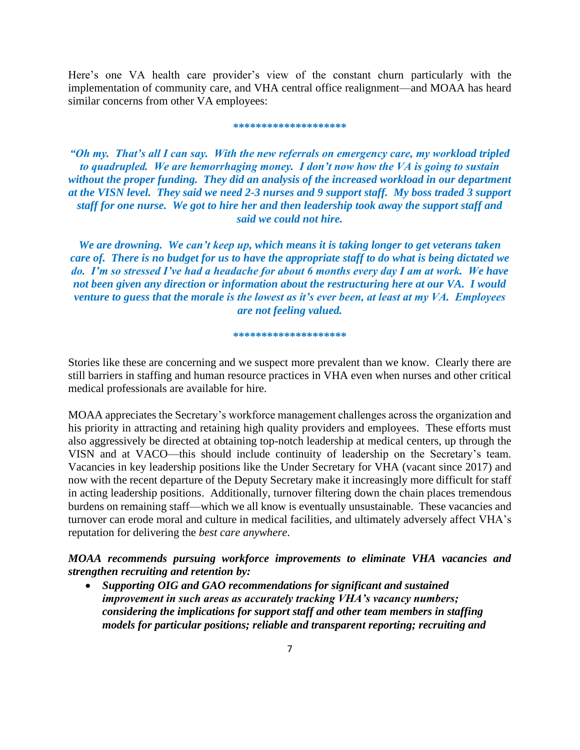Here's one VA health care provider's view of the constant churn particularly with the implementation of community care, and VHA central office realignment—and MOAA has heard similar concerns from other VA employees:

#### **\*\*\*\*\*\*\*\*\*\*\*\*\*\*\*\*\*\*\*\***

*"Oh my. That's all I can say. With the new referrals on emergency care, my workload tripled to quadrupled. We are hemorrhaging money. I don't now how the VA is going to sustain without the proper funding. They did an analysis of the increased workload in our department at the VISN level. They said we need 2-3 nurses and 9 support staff. My boss traded 3 support staff for one nurse. We got to hire her and then leadership took away the support staff and said we could not hire.* 

*We are drowning. We can't keep up, which means it is taking longer to get veterans taken care of. There is no budget for us to have the appropriate staff to do what is being dictated we do. I'm so stressed I've had a headache for about 6 months every day I am at work. We have not been given any direction or information about the restructuring here at our VA. I would venture to guess that the morale is the lowest as it's ever been, at least at my VA. Employees are not feeling valued.*

#### **\*\*\*\*\*\*\*\*\*\*\*\*\*\*\*\*\*\*\*\***

Stories like these are concerning and we suspect more prevalent than we know. Clearly there are still barriers in staffing and human resource practices in VHA even when nurses and other critical medical professionals are available for hire.

MOAA appreciates the Secretary's workforce management challenges across the organization and his priority in attracting and retaining high quality providers and employees. These efforts must also aggressively be directed at obtaining top-notch leadership at medical centers, up through the VISN and at VACO—this should include continuity of leadership on the Secretary's team. Vacancies in key leadership positions like the Under Secretary for VHA (vacant since 2017) and now with the recent departure of the Deputy Secretary make it increasingly more difficult for staff in acting leadership positions. Additionally, turnover filtering down the chain places tremendous burdens on remaining staff—which we all know is eventually unsustainable. These vacancies and turnover can erode moral and culture in medical facilities, and ultimately adversely affect VHA's reputation for delivering the *best care anywhere*.

*MOAA recommends pursuing workforce improvements to eliminate VHA vacancies and strengthen recruiting and retention by:* 

• *Supporting OIG and GAO recommendations for significant and sustained improvement in such areas as accurately tracking VHA's vacancy numbers; considering the implications for support staff and other team members in staffing models for particular positions; reliable and transparent reporting; recruiting and*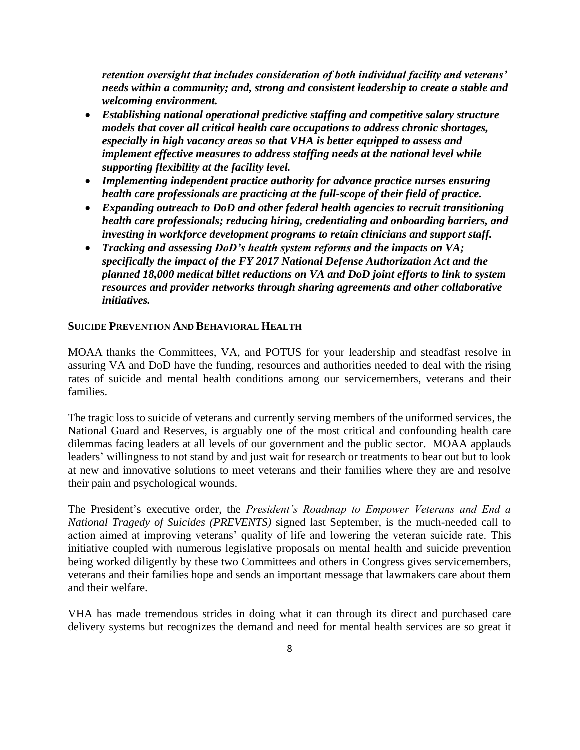*retention oversight that includes consideration of both individual facility and veterans' needs within a community; and, strong and consistent leadership to create a stable and welcoming environment.*

- *Establishing national operational predictive staffing and competitive salary structure models that cover all critical health care occupations to address chronic shortages, especially in high vacancy areas so that VHA is better equipped to assess and implement effective measures to address staffing needs at the national level while supporting flexibility at the facility level.*
- *Implementing independent practice authority for advance practice nurses ensuring health care professionals are practicing at the full-scope of their field of practice.*
- *Expanding outreach to DoD and other federal health agencies to recruit transitioning health care professionals; reducing hiring, credentialing and onboarding barriers, and investing in workforce development programs to retain clinicians and support staff.*
- *Tracking and assessing DoD's health system reforms and the impacts on VA; specifically the impact of the FY 2017 National Defense Authorization Act and the planned 18,000 medical billet reductions on VA and DoD joint efforts to link to system resources and provider networks through sharing agreements and other collaborative initiatives.*

#### **SUICIDE PREVENTION AND BEHAVIORAL HEALTH**

MOAA thanks the Committees, VA, and POTUS for your leadership and steadfast resolve in assuring VA and DoD have the funding, resources and authorities needed to deal with the rising rates of suicide and mental health conditions among our servicemembers, veterans and their families.

The tragic loss to suicide of veterans and currently serving members of the uniformed services, the National Guard and Reserves, is arguably one of the most critical and confounding health care dilemmas facing leaders at all levels of our government and the public sector. MOAA applauds leaders' willingness to not stand by and just wait for research or treatments to bear out but to look at new and innovative solutions to meet veterans and their families where they are and resolve their pain and psychological wounds.

The President's executive order, the *President's Roadmap to Empower Veterans and End a National Tragedy of Suicides (PREVENTS)* signed last September, is the much-needed call to action aimed at improving veterans' quality of life and lowering the veteran suicide rate. This initiative coupled with numerous legislative proposals on mental health and suicide prevention being worked diligently by these two Committees and others in Congress gives servicemembers, veterans and their families hope and sends an important message that lawmakers care about them and their welfare.

VHA has made tremendous strides in doing what it can through its direct and purchased care delivery systems but recognizes the demand and need for mental health services are so great it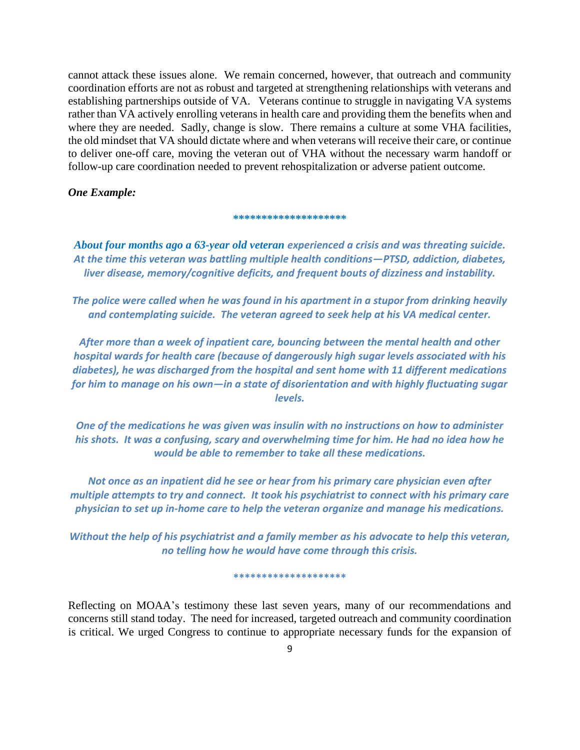cannot attack these issues alone. We remain concerned, however, that outreach and community coordination efforts are not as robust and targeted at strengthening relationships with veterans and establishing partnerships outside of VA. Veterans continue to struggle in navigating VA systems rather than VA actively enrolling veterans in health care and providing them the benefits when and where they are needed. Sadly, change is slow. There remains a culture at some VHA facilities, the old mindset that VA should dictate where and when veterans will receive their care, or continue to deliver one-off care, moving the veteran out of VHA without the necessary warm handoff or follow-up care coordination needed to prevent rehospitalization or adverse patient outcome.

#### *One Example:*

#### \*\*\*\*\*\*\*\*\*\*\*\*\*\*\*\*\*

*About four months ago a 63-year old veteran experienced a crisis and was threating suicide. At the time this veteran was battling multiple health conditions—PTSD, addiction, diabetes, liver disease, memory/cognitive deficits, and frequent bouts of dizziness and instability.* 

*The police were called when he was found in his apartment in a stupor from drinking heavily and contemplating suicide. The veteran agreed to seek help at his VA medical center.* 

*After more than a week of inpatient care, bouncing between the mental health and other hospital wards for health care (because of dangerously high sugar levels associated with his diabetes), he was discharged from the hospital and sent home with 11 different medications for him to manage on his own—in a state of disorientation and with highly fluctuating sugar levels.*

*One of the medications he was given was insulin with no instructions on how to administer his shots. It was a confusing, scary and overwhelming time for him. He had no idea how he would be able to remember to take all these medications.*

*Not once as an inpatient did he see or hear from his primary care physician even after multiple attempts to try and connect. It took his psychiatrist to connect with his primary care physician to set up in-home care to help the veteran organize and manage his medications.*

*Without the help of his psychiatrist and a family member as his advocate to help this veteran, no telling how he would have come through this crisis.*

#### **\*\*\*\*\*\*\*\*\*\*\*\*\*\*\*\*\*\*\*\***

Reflecting on MOAA's testimony these last seven years, many of our recommendations and concerns still stand today. The need for increased, targeted outreach and community coordination is critical. We urged Congress to continue to appropriate necessary funds for the expansion of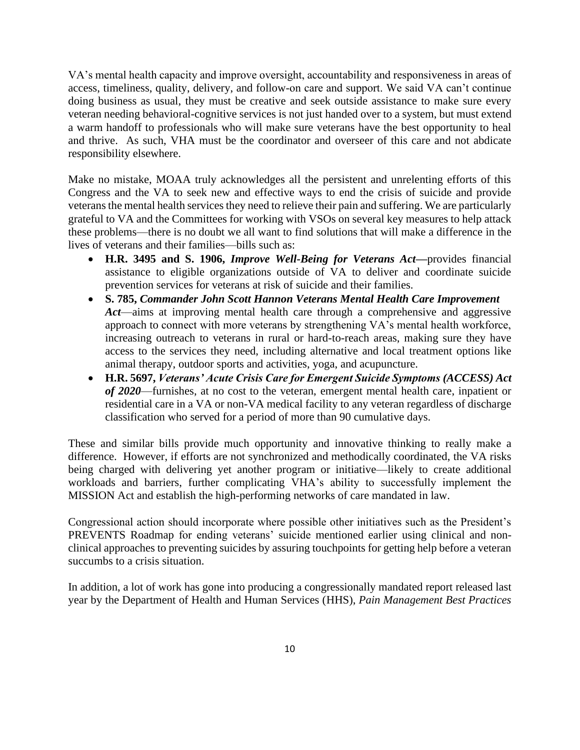VA's mental health capacity and improve oversight, accountability and responsiveness in areas of access, timeliness, quality, delivery, and follow-on care and support. We said VA can't continue doing business as usual, they must be creative and seek outside assistance to make sure every veteran needing behavioral-cognitive services is not just handed over to a system, but must extend a warm handoff to professionals who will make sure veterans have the best opportunity to heal and thrive. As such, VHA must be the coordinator and overseer of this care and not abdicate responsibility elsewhere.

Make no mistake, MOAA truly acknowledges all the persistent and unrelenting efforts of this Congress and the VA to seek new and effective ways to end the crisis of suicide and provide veterans the mental health services they need to relieve their pain and suffering. We are particularly grateful to VA and the Committees for working with VSOs on several key measures to help attack these problems—there is no doubt we all want to find solutions that will make a difference in the lives of veterans and their families—bills such as:

- **H.R. 3495 and S. 1906,** *Improve Well-Being for Veterans Act—*provides financial assistance to eligible organizations outside of VA to deliver and coordinate suicide prevention services for veterans at risk of suicide and their families.
- **S. 785,** *Commander John Scott Hannon Veterans Mental Health Care Improvement Act*—aims at improving mental health care through a comprehensive and aggressive approach to connect with more veterans by strengthening VA's mental health workforce, increasing outreach to veterans in rural or hard-to-reach areas, making sure they have access to the services they need, including alternative and local treatment options like animal therapy, outdoor sports and activities, yoga, and acupuncture.
- **H.R. 5697,** *Veterans' Acute Crisis Care for Emergent Suicide Symptoms (ACCESS) Act of 2020*—furnishes, at no cost to the veteran, emergent mental health care, inpatient or residential care in a VA or non-VA medical facility to any veteran regardless of discharge classification who served for a period of more than 90 cumulative days.

These and similar bills provide much opportunity and innovative thinking to really make a difference. However, if efforts are not synchronized and methodically coordinated, the VA risks being charged with delivering yet another program or initiative—likely to create additional workloads and barriers, further complicating VHA's ability to successfully implement the MISSION Act and establish the high-performing networks of care mandated in law.

Congressional action should incorporate where possible other initiatives such as the President's PREVENTS Roadmap for ending veterans' suicide mentioned earlier using clinical and nonclinical approaches to preventing suicides by assuring touchpoints for getting help before a veteran succumbs to a crisis situation.

In addition, a lot of work has gone into producing a congressionally mandated report released last year by the Department of Health and Human Services (HHS), *Pain Management Best Practices*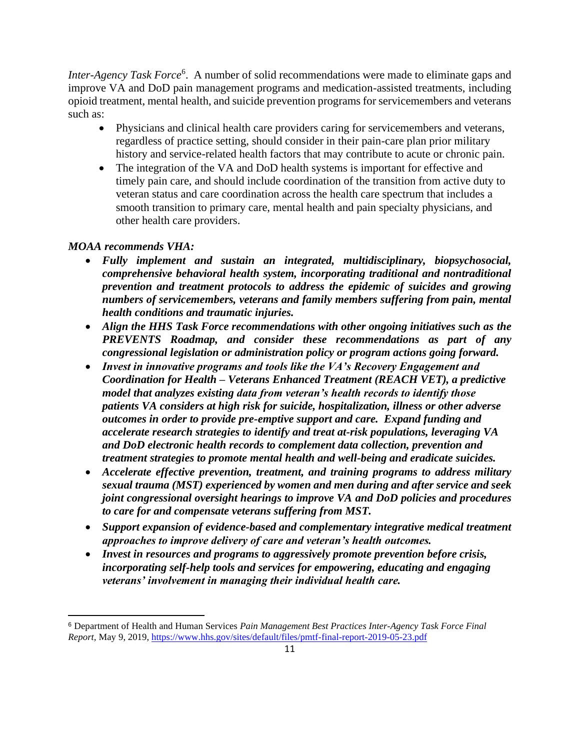Inter-Agency Task Force<sup>6</sup>. A number of solid recommendations were made to eliminate gaps and improve VA and DoD pain management programs and medication-assisted treatments, including opioid treatment, mental health, and suicide prevention programs for servicemembers and veterans such as:

- Physicians and clinical health care providers caring for servicemembers and veterans, regardless of practice setting, should consider in their pain-care plan prior military history and service-related health factors that may contribute to acute or chronic pain.
- The integration of the VA and DoD health systems is important for effective and timely pain care, and should include coordination of the transition from active duty to veteran status and care coordination across the health care spectrum that includes a smooth transition to primary care, mental health and pain specialty physicians, and other health care providers.

# *MOAA recommends VHA:*

- *Fully implement and sustain an integrated, multidisciplinary, biopsychosocial, comprehensive behavioral health system, incorporating traditional and nontraditional prevention and treatment protocols to address the epidemic of suicides and growing numbers of servicemembers, veterans and family members suffering from pain, mental health conditions and traumatic injuries.*
- *Align the HHS Task Force recommendations with other ongoing initiatives such as the PREVENTS Roadmap, and consider these recommendations as part of any congressional legislation or administration policy or program actions going forward.*
- *Invest in innovative programs and tools like the VA's Recovery Engagement and Coordination for Health – Veterans Enhanced Treatment (REACH VET), a predictive model that analyzes existing data from veteran's health records to identify those patients VA considers at high risk for suicide, hospitalization, illness or other adverse outcomes in order to provide pre-emptive support and care. Expand funding and accelerate research strategies to identify and treat at-risk populations, leveraging VA and DoD electronic health records to complement data collection, prevention and treatment strategies to promote mental health and well-being and eradicate suicides.*
- *Accelerate effective prevention, treatment, and training programs to address military sexual trauma (MST) experienced by women and men during and after service and seek joint congressional oversight hearings to improve VA and DoD policies and procedures to care for and compensate veterans suffering from MST.*
- *Support expansion of evidence-based and complementary integrative medical treatment approaches to improve delivery of care and veteran's health outcomes.*
- *Invest in resources and programs to aggressively promote prevention before crisis, incorporating self-help tools and services for empowering, educating and engaging veterans' involvement in managing their individual health care.*

<sup>6</sup> Department of Health and Human Services *Pain Management Best Practices Inter-Agency Task Force Final Report,* May 9, 2019,<https://www.hhs.gov/sites/default/files/pmtf-final-report-2019-05-23.pdf>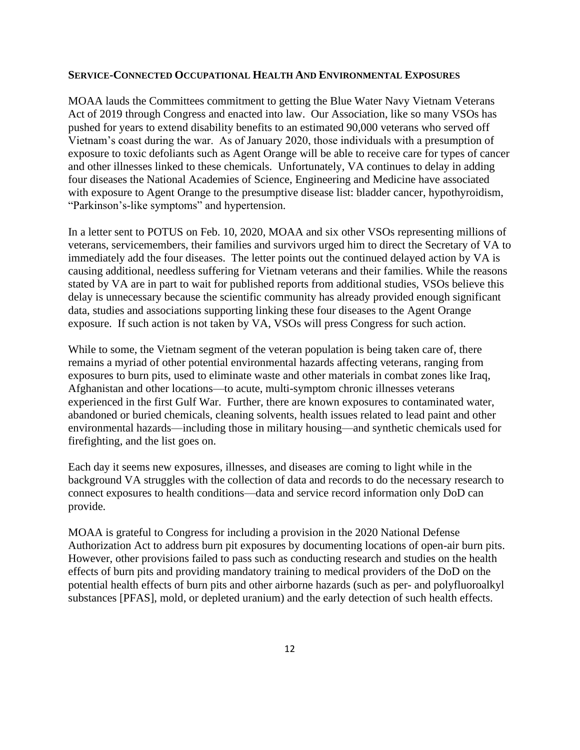#### **SERVICE-CONNECTED OCCUPATIONAL HEALTH AND ENVIRONMENTAL EXPOSURES**

MOAA lauds the Committees commitment to getting the Blue Water Navy Vietnam Veterans Act of 2019 through Congress and enacted into law. Our Association, like so many VSOs has pushed for years to extend disability benefits to an estimated 90,000 veterans who served off Vietnam's coast during the war. As of January 2020, those individuals with a presumption of exposure to toxic defoliants such as Agent Orange will be able to receive care for types of cancer and other illnesses linked to these chemicals. Unfortunately, VA continues to delay in adding four diseases the National Academies of Science, Engineering and Medicine have associated with exposure to Agent Orange to the presumptive disease list: bladder cancer, hypothyroidism, "Parkinson's-like symptoms" and hypertension.

In a letter sent to POTUS on Feb. 10, 2020, MOAA and six other VSOs representing millions of veterans, servicemembers, their families and survivors urged him to direct the Secretary of VA to immediately add the four diseases. The letter points out the continued delayed action by VA is causing additional, needless suffering for Vietnam veterans and their families. While the reasons stated by VA are in part to wait for published reports from additional studies, VSOs believe this delay is unnecessary because the scientific community has already provided enough significant data, studies and associations supporting linking these four diseases to the Agent Orange exposure. If such action is not taken by VA, VSOs will press Congress for such action.

While to some, the Vietnam segment of the veteran population is being taken care of, there remains a myriad of other potential environmental hazards affecting veterans, ranging from exposures to burn pits, used to eliminate waste and other materials in combat zones like Iraq, Afghanistan and other locations—to acute, multi-symptom chronic illnesses veterans experienced in the first Gulf War. Further, there are known exposures to contaminated water, abandoned or buried chemicals, cleaning solvents, health issues related to lead paint and other environmental hazards—including those in military housing—and synthetic chemicals used for firefighting, and the list goes on.

Each day it seems new exposures, illnesses, and diseases are coming to light while in the background VA struggles with the collection of data and records to do the necessary research to connect exposures to health conditions—data and service record information only DoD can provide.

MOAA is grateful to Congress for including a provision in the 2020 National Defense Authorization Act to address burn pit exposures by documenting locations of open-air burn pits. However, other provisions failed to pass such as conducting research and studies on the health effects of burn pits and providing mandatory training to medical providers of the DoD on the potential health effects of burn pits and other airborne hazards (such as per- and polyfluoroalkyl substances [PFAS], mold, or depleted uranium) and the early detection of such health effects.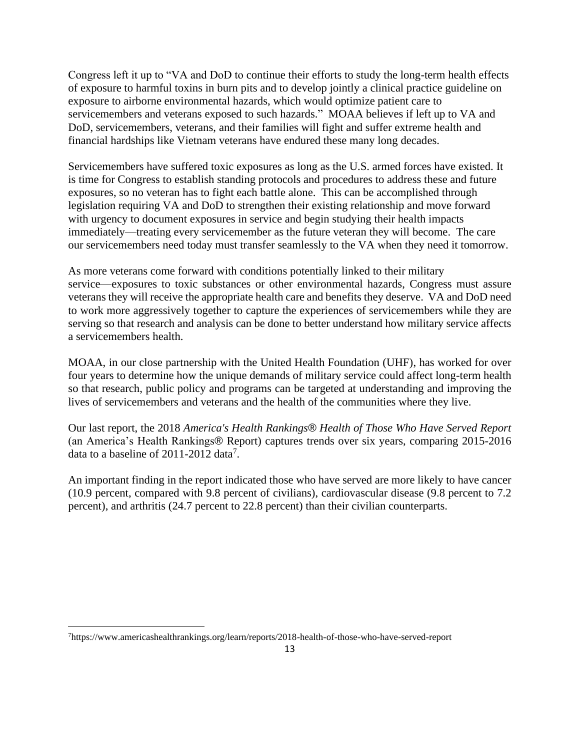Congress left it up to "VA and DoD to continue their efforts to study the long-term health effects of exposure to harmful toxins in burn pits and to develop jointly a clinical practice guideline on exposure to airborne environmental hazards, which would optimize patient care to servicemembers and veterans exposed to such hazards." MOAA believes if left up to VA and DoD, servicemembers, veterans, and their families will fight and suffer extreme health and financial hardships like Vietnam veterans have endured these many long decades.

Servicemembers have suffered toxic exposures as long as the U.S. armed forces have existed. It is time for Congress to establish standing protocols and procedures to address these and future exposures, so no veteran has to fight each battle alone. This can be accomplished through legislation requiring VA and DoD to strengthen their existing relationship and move forward with urgency to document exposures in service and begin studying their health impacts immediately—treating every servicemember as the future veteran they will become. The care our servicemembers need today must transfer seamlessly to the VA when they need it tomorrow.

As more veterans come forward with conditions potentially linked to their military service—exposures to toxic substances or other environmental hazards, Congress must assure veterans they will receive the appropriate health care and benefits they deserve. VA and DoD need to work more aggressively together to capture the experiences of servicemembers while they are serving so that research and analysis can be done to better understand how military service affects a servicemembers health.

MOAA, in our close partnership with the United Health Foundation (UHF), has worked for over four years to determine how the unique demands of military service could affect long-term health so that research, public policy and programs can be targeted at understanding and improving the lives of servicemembers and veterans and the health of the communities where they live.

Our last report, the 2018 *America's Health Rankings*® *Health of Those Who Have Served Report* (an America's Health Rankings® Report) captures trends over six years, comparing 2015-2016 data to a baseline of  $2011-2012$  data<sup>7</sup>.

An important finding in the report indicated those who have served are more likely to have cancer (10.9 percent, compared with 9.8 percent of civilians), cardiovascular disease (9.8 percent to 7.2 percent), and arthritis (24.7 percent to 22.8 percent) than their civilian counterparts.

<sup>7</sup>https://www.americashealthrankings.org/learn/reports/2018-health-of-those-who-have-served-report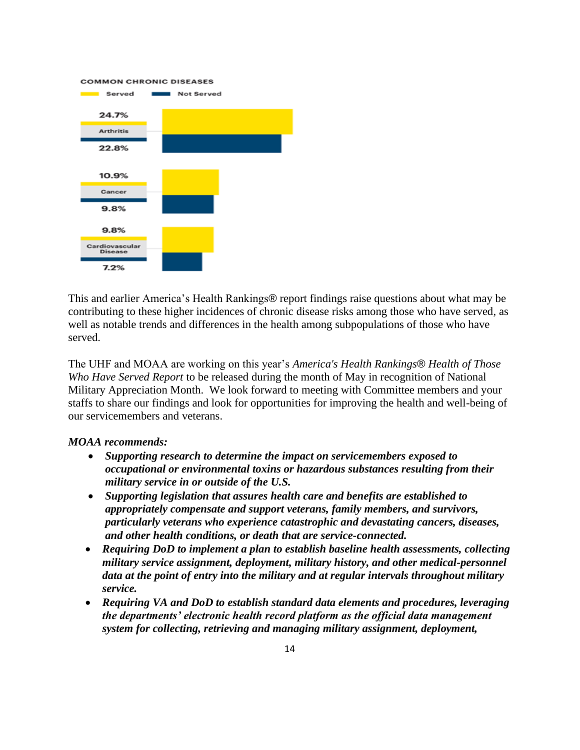**COMMON CHRONIC DISEASES** 



This and earlier America's Health Rankings® report findings raise questions about what may be contributing to these higher incidences of chronic disease risks among those who have served, as well as notable trends and differences in the health among subpopulations of those who have served.

The UHF and MOAA are working on this year's *America's Health Rankings*® *Health of Those Who Have Served Report* to be released during the month of May in recognition of National Military Appreciation Month. We look forward to meeting with Committee members and your staffs to share our findings and look for opportunities for improving the health and well-being of our servicemembers and veterans.

#### *MOAA recommends:*

- *Supporting research to determine the impact on servicemembers exposed to occupational or environmental toxins or hazardous substances resulting from their military service in or outside of the U.S.*
- *Supporting legislation that assures health care and benefits are established to appropriately compensate and support veterans, family members, and survivors, particularly veterans who experience catastrophic and devastating cancers, diseases, and other health conditions, or death that are service-connected.*
- *Requiring DoD to implement a plan to establish baseline health assessments, collecting military service assignment, deployment, military history, and other medical-personnel data at the point of entry into the military and at regular intervals throughout military service.*
- *Requiring VA and DoD to establish standard data elements and procedures, leveraging the departments' electronic health record platform as the official data management system for collecting, retrieving and managing military assignment, deployment,*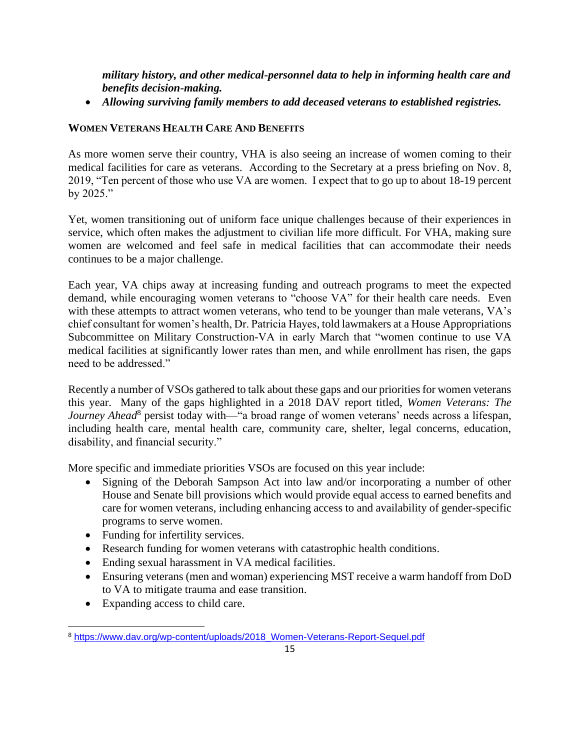*military history, and other medical-personnel data to help in informing health care and benefits decision-making.*

• *Allowing surviving family members to add deceased veterans to established registries.*

# **WOMEN VETERANS HEALTH CARE AND BENEFITS**

As more women serve their country, VHA is also seeing an increase of women coming to their medical facilities for care as veterans. According to the Secretary at a press briefing on Nov. 8, 2019, "Ten percent of those who use VA are women. I expect that to go up to about 18-19 percent by 2025."

Yet, women transitioning out of uniform face unique challenges because of their experiences in service, which often makes the adjustment to civilian life more difficult. For VHA, making sure women are welcomed and feel safe in medical facilities that can accommodate their needs continues to be a major challenge.

Each year, VA chips away at increasing funding and outreach programs to meet the expected demand, while encouraging women veterans to "choose VA" for their health care needs. Even with these attempts to attract women veterans, who tend to be younger than male veterans, VA's chief consultant for women's health, Dr. Patricia Hayes, told lawmakers at a House Appropriations Subcommittee on Military Construction-VA in early March that "women continue to use VA medical facilities at significantly lower rates than men, and while enrollment has risen, the gaps need to be addressed."

Recently a number of VSOs gathered to talk about these gaps and our priorities for women veterans this year. Many of the gaps highlighted in a 2018 DAV report titled, *Women Veterans: The*  Journey Ahead<sup>8</sup> persist today with—"a broad range of women veterans' needs across a lifespan, including health care, mental health care, community care, shelter, legal concerns, education, disability, and financial security."

More specific and immediate priorities VSOs are focused on this year include:

- Signing of the Deborah Sampson Act into law and/or incorporating a number of other House and Senate bill provisions which would provide equal access to earned benefits and care for women veterans, including enhancing access to and availability of gender-specific programs to serve women.
- Funding for infertility services.
- Research funding for women veterans with catastrophic health conditions.
- Ending sexual harassment in VA medical facilities.
- Ensuring veterans (men and woman) experiencing MST receive a warm handoff from DoD to VA to mitigate trauma and ease transition.
- Expanding access to child care.

<sup>8</sup> [https://www.dav.org/wp-content/uploads/2018\\_Women-Veterans-Report-Sequel.pdf](https://www.dav.org/wp-content/uploads/2018_Women-Veterans-Report-Sequel.pdf)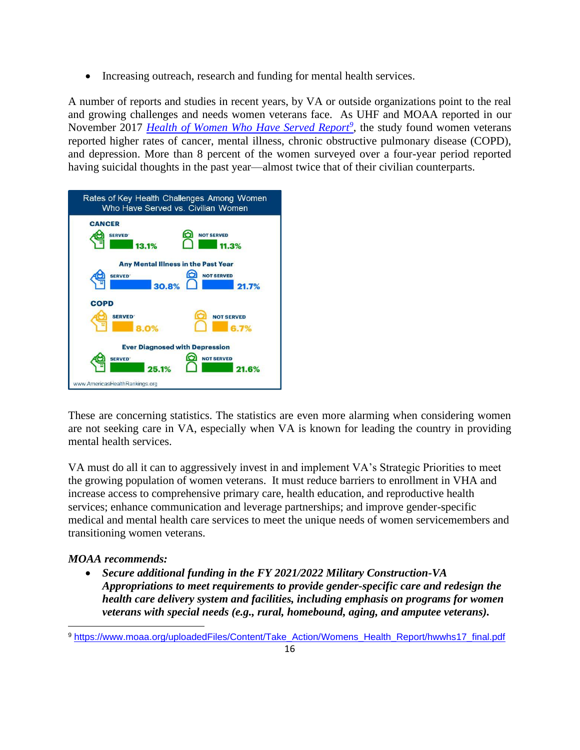• Increasing outreach, research and funding for mental health services.

A number of reports and studies in recent years, by VA or outside organizations point to the real and growing challenges and needs women veterans face. As UHF and MOAA reported in our November 2017 *[Health of Women Who Have Served Report](http://www.moaa.org/uploadedFiles/Content/Take_Action/Womens_Health_Report/hwwhs17_final.pdf)<sup>9</sup>* , the study found women veterans reported higher rates of cancer, mental illness, chronic obstructive pulmonary disease (COPD), and depression. More than 8 percent of the women surveyed over a four-year period reported having suicidal thoughts in the past year—almost twice that of their civilian counterparts.



These are concerning statistics. The statistics are even more alarming when considering women are not seeking care in VA, especially when VA is known for leading the country in providing mental health services.

VA must do all it can to aggressively invest in and implement VA's Strategic Priorities to meet the growing population of women veterans. It must reduce barriers to enrollment in VHA and increase access to comprehensive primary care, health education, and reproductive health services; enhance communication and leverage partnerships; and improve gender-specific medical and mental health care services to meet the unique needs of women servicemembers and transitioning women veterans.

# *MOAA recommends:*

• *Secure additional funding in the FY 2021/2022 Military Construction-VA Appropriations to meet requirements to provide gender-specific care and redesign the health care delivery system and facilities, including emphasis on programs for women veterans with special needs (e.g., rural, homebound, aging, and amputee veterans).* 

<sup>9</sup> [https://www.moaa.org/uploadedFiles/Content/Take\\_Action/Womens\\_Health\\_Report/hwwhs17\\_final.pdf](https://www.moaa.org/uploadedFiles/Content/Take_Action/Womens_Health_Report/hwwhs17_final.pdf)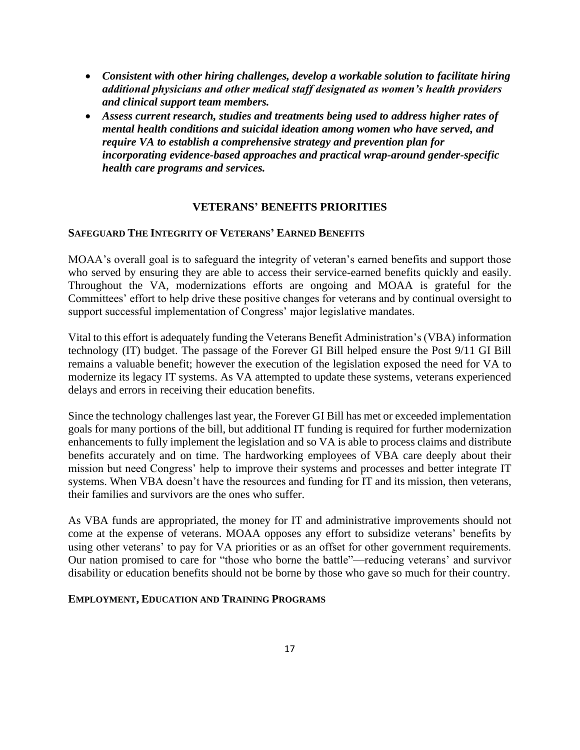- *Consistent with other hiring challenges, develop a workable solution to facilitate hiring additional physicians and other medical staff designated as women's health providers and clinical support team members.*
- *Assess current research, studies and treatments being used to address higher rates of mental health conditions and suicidal ideation among women who have served, and require VA to establish a comprehensive strategy and prevention plan for incorporating evidence-based approaches and practical wrap-around gender-specific health care programs and services.*

#### **VETERANS' BENEFITS PRIORITIES**

#### **SAFEGUARD THE INTEGRITY OF VETERANS' EARNED BENEFITS**

MOAA's overall goal is to safeguard the integrity of veteran's earned benefits and support those who served by ensuring they are able to access their service-earned benefits quickly and easily. Throughout the VA, modernizations efforts are ongoing and MOAA is grateful for the Committees' effort to help drive these positive changes for veterans and by continual oversight to support successful implementation of Congress' major legislative mandates.

Vital to this effort is adequately funding the Veterans Benefit Administration's (VBA) information technology (IT) budget. The passage of the Forever GI Bill helped ensure the Post 9/11 GI Bill remains a valuable benefit; however the execution of the legislation exposed the need for VA to modernize its legacy IT systems. As VA attempted to update these systems, veterans experienced delays and errors in receiving their education benefits.

Since the technology challenges last year, the Forever GI Bill has met or exceeded implementation goals for many portions of the bill, but additional IT funding is required for further modernization enhancements to fully implement the legislation and so VA is able to process claims and distribute benefits accurately and on time. The hardworking employees of VBA care deeply about their mission but need Congress' help to improve their systems and processes and better integrate IT systems. When VBA doesn't have the resources and funding for IT and its mission, then veterans, their families and survivors are the ones who suffer.

As VBA funds are appropriated, the money for IT and administrative improvements should not come at the expense of veterans. MOAA opposes any effort to subsidize veterans' benefits by using other veterans' to pay for VA priorities or as an offset for other government requirements. Our nation promised to care for "those who borne the battle"—reducing veterans' and survivor disability or education benefits should not be borne by those who gave so much for their country.

#### **EMPLOYMENT, EDUCATION AND TRAINING PROGRAMS**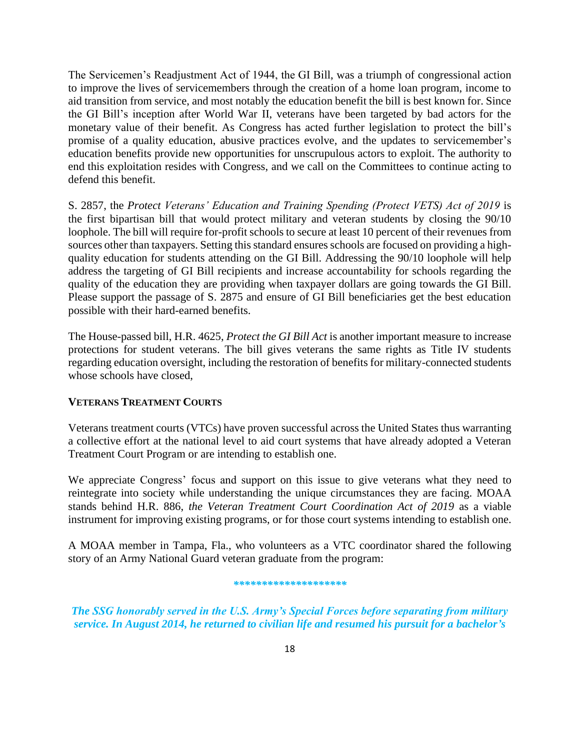The Servicemen's Readjustment Act of 1944, the GI Bill, was a triumph of congressional action to improve the lives of servicemembers through the creation of a home loan program, income to aid transition from service, and most notably the education benefit the bill is best known for. Since the GI Bill's inception after World War II, veterans have been targeted by bad actors for the monetary value of their benefit. As Congress has acted further legislation to protect the bill's promise of a quality education, abusive practices evolve, and the updates to servicemember's education benefits provide new opportunities for unscrupulous actors to exploit. The authority to end this exploitation resides with Congress, and we call on the Committees to continue acting to defend this benefit.

S. 2857, the *Protect Veterans' Education and Training Spending (Protect VETS) Act of 2019* is the first bipartisan bill that would protect military and veteran students by closing the 90/10 loophole. The bill will require for-profit schools to secure at least 10 percent of their revenues from sources other than taxpayers. Setting this standard ensures schools are focused on providing a highquality education for students attending on the GI Bill. Addressing the 90/10 loophole will help address the targeting of GI Bill recipients and increase accountability for schools regarding the quality of the education they are providing when taxpayer dollars are going towards the GI Bill. Please support the passage of S. 2875 and ensure of GI Bill beneficiaries get the best education possible with their hard-earned benefits.

The House-passed bill, H.R. 4625, *Protect the GI Bill Act* is another important measure to increase protections for student veterans. The bill gives veterans the same rights as Title IV students regarding education oversight, including the restoration of benefits for military-connected students whose schools have closed,

#### **VETERANS TREATMENT COURTS**

Veterans treatment courts (VTCs) have proven successful across the United States thus warranting a collective effort at the national level to aid court systems that have already adopted a Veteran Treatment Court Program or are intending to establish one.

We appreciate Congress' focus and support on this issue to give veterans what they need to reintegrate into society while understanding the unique circumstances they are facing. MOAA stands behind H.R. 886, *the Veteran Treatment Court Coordination Act of 2019* as a viable instrument for improving existing programs, or for those court systems intending to establish one.

A MOAA member in Tampa, Fla., who volunteers as a VTC coordinator shared the following story of an Army National Guard veteran graduate from the program:

#### *\*\*\*\*\*\*\*\*\*\*\*\*\*\*\*\*\*\*\*\**

*The SSG honorably served in the U.S. Army's Special Forces before separating from military service. In August 2014, he returned to civilian life and resumed his pursuit for a bachelor's*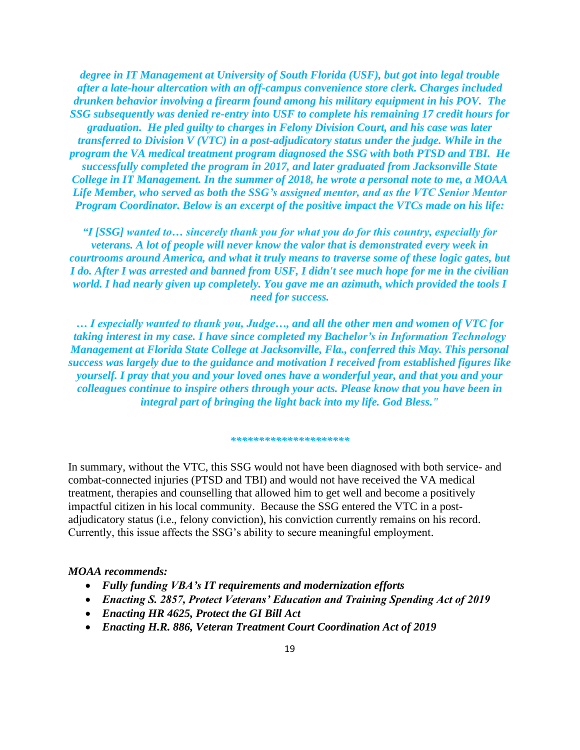*degree in IT Management at University of South Florida (USF), but got into legal trouble after a late-hour altercation with an off-campus convenience store clerk. Charges included drunken behavior involving a firearm found among his military equipment in his POV. The SSG subsequently was denied re-entry into USF to complete his remaining 17 credit hours for graduation. He pled guilty to charges in Felony Division Court, and his case was later transferred to Division V (VTC) in a post-adjudicatory status under the judge. While in the program the VA medical treatment program diagnosed the SSG with both PTSD and TBI. He successfully completed the program in 2017, and later graduated from Jacksonville State College in IT Management. In the summer of 2018, he wrote a personal note to me, a MOAA Life Member, who served as both the SSG's assigned mentor, and as the VTC Senior Mentor Program Coordinator. Below is an excerpt of the positive impact the VTCs made on his life:*

*"I [SSG] wanted to… sincerely thank you for what you do for this country, especially for veterans. A lot of people will never know the valor that is demonstrated every week in courtrooms around America, and what it truly means to traverse some of these logic gates, but I do. After I was arrested and banned from USF, I didn't see much hope for me in the civilian world. I had nearly given up completely. You gave me an azimuth, which provided the tools I need for success.*

*… I especially wanted to thank you, Judge…, and all the other men and women of VTC for taking interest in my case. I have since completed my Bachelor's in Information Technology Management at Florida State College at Jacksonville, Fla., conferred this May. This personal success was largely due to the guidance and motivation I received from established figures like yourself. I pray that you and your loved ones have a wonderful year, and that you and your colleagues continue to inspire others through your acts. Please know that you have been in integral part of bringing the light back into my life. God Bless."*

#### *\*\*\*\*\*\*\*\*\*\*\*\*\*\*\*\*\*\*\*\*\**

In summary, without the VTC, this SSG would not have been diagnosed with both service- and combat-connected injuries (PTSD and TBI) and would not have received the VA medical treatment, therapies and counselling that allowed him to get well and become a positively impactful citizen in his local community. Because the SSG entered the VTC in a postadjudicatory status (i.e., felony conviction), his conviction currently remains on his record. Currently, this issue affects the SSG's ability to secure meaningful employment.

#### *MOAA recommends:*

- *Fully funding VBA's IT requirements and modernization efforts*
- *Enacting S. 2857, Protect Veterans' Education and Training Spending Act of 2019*
- *Enacting HR 4625, Protect the GI Bill Act*
- *Enacting H.R. 886, Veteran Treatment Court Coordination Act of 2019*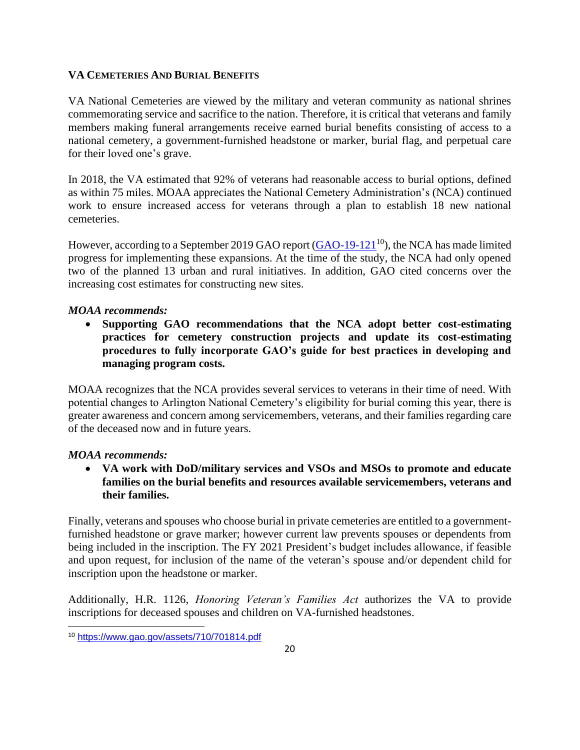#### **VA CEMETERIES AND BURIAL BENEFITS**

VA National Cemeteries are viewed by the military and veteran community as national shrines commemorating service and sacrifice to the nation. Therefore, it is critical that veterans and family members making funeral arrangements receive earned burial benefits consisting of access to a national cemetery, a government-furnished headstone or marker, burial flag, and perpetual care for their loved one's grave.

In 2018, the VA estimated that 92% of veterans had reasonable access to burial options, defined as within 75 miles. MOAA appreciates the National Cemetery Administration's (NCA) continued work to ensure increased access for veterans through a plan to establish 18 new national cemeteries.

However, according to a September 2019 GAO report [\(GAO-19-121](https://www.gao.gov/assets/710/701814.pdf)<sup>10</sup>), the NCA has made limited progress for implementing these expansions. At the time of the study, the NCA had only opened two of the planned 13 urban and rural initiatives. In addition, GAO cited concerns over the increasing cost estimates for constructing new sites.

### *MOAA recommends:*

• **Supporting GAO recommendations that the NCA adopt better cost-estimating practices for cemetery construction projects and update its cost-estimating procedures to fully incorporate GAO's guide for best practices in developing and managing program costs.** 

MOAA recognizes that the NCA provides several services to veterans in their time of need. With potential changes to Arlington National Cemetery's eligibility for burial coming this year, there is greater awareness and concern among servicemembers, veterans, and their families regarding care of the deceased now and in future years.

# *MOAA recommends:*

• **VA work with DoD/military services and VSOs and MSOs to promote and educate families on the burial benefits and resources available servicemembers, veterans and their families.** 

Finally, veterans and spouses who choose burial in private cemeteries are entitled to a governmentfurnished headstone or grave marker; however current law prevents spouses or dependents from being included in the inscription. The FY 2021 President's budget includes allowance, if feasible and upon request, for inclusion of the name of the veteran's spouse and/or dependent child for inscription upon the headstone or marker.

Additionally, H.R. 1126, *Honoring Veteran's Families Act* authorizes the VA to provide inscriptions for deceased spouses and children on VA-furnished headstones.

<sup>10</sup> <https://www.gao.gov/assets/710/701814.pdf>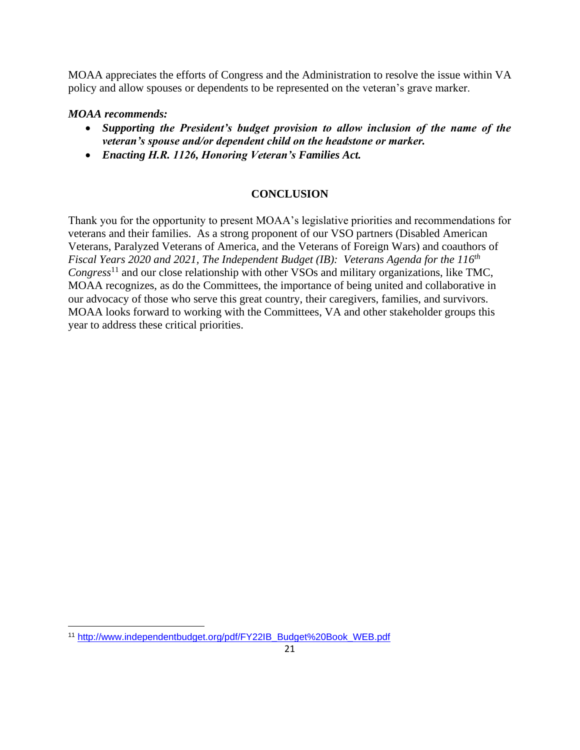MOAA appreciates the efforts of Congress and the Administration to resolve the issue within VA policy and allow spouses or dependents to be represented on the veteran's grave marker.

### *MOAA recommends:*

- *Supporting the President's budget provision to allow inclusion of the name of the veteran's spouse and/or dependent child on the headstone or marker.*
- *Enacting H.R. 1126, Honoring Veteran's Families Act.*

### **CONCLUSION**

Thank you for the opportunity to present MOAA's legislative priorities and recommendations for veterans and their families. As a strong proponent of our VSO partners (Disabled American Veterans, Paralyzed Veterans of America, and the Veterans of Foreign Wars) and coauthors of *Fiscal Years 2020 and 2021, The Independent Budget (IB): Veterans Agenda for the 116th Congress*<sup>11</sup> and our close relationship with other VSOs and military organizations, like TMC, MOAA recognizes, as do the Committees, the importance of being united and collaborative in our advocacy of those who serve this great country, their caregivers, families, and survivors. MOAA looks forward to working with the Committees, VA and other stakeholder groups this year to address these critical priorities.

<sup>11</sup> [http://www.independentbudget.org/pdf/FY22IB\\_Budget%20Book\\_WEB.pdf](http://www.independentbudget.org/pdf/FY22IB_Budget%20Book_WEB.pdf)